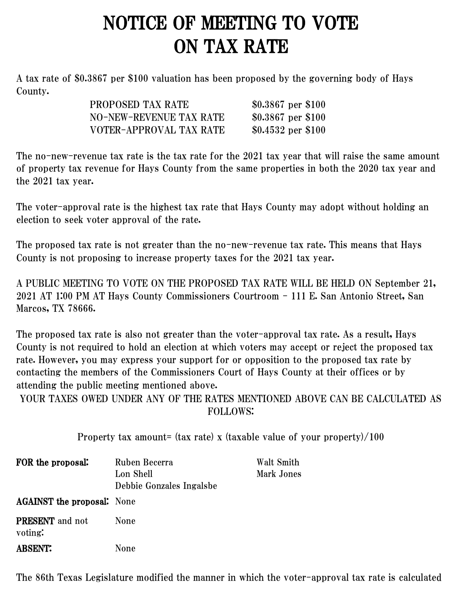## NOTICE OF MEETING TO VOTE ON TAX RATE

A tax rate of \$0.3867 per \$100 valuation has been proposed by the governing body of Hays County.

| <b>PROPOSED TAX RATE</b> | \$0.3867 per \$100 |
|--------------------------|--------------------|
| NO-NEW-REVENUE TAX RATE  | \$0.3867 per \$100 |
| VOTER-APPROVAL TAX RATE  | \$0.4532 per \$100 |

The no-new-revenue tax rate is the tax rate for the 2021 tax year that will raise the same amount of property tax revenue for Hays County from the same properties in both the 2020 tax year and the 2021 tax year.

The voter-approval rate is the highest tax rate that Hays County may adopt without holding an election to seek voter approval of the rate.

The proposed tax rate is not greater than the no-new-revenue tax rate. This means that Hays County is not proposing to increase property taxes for the 2021 tax year.

A PUBLIC MEETING TO VOTE ON THE PROPOSED TAX RATE WILL BE HELD ON September 21, 2021 AT 1:00 PM AT Hays County Commissioners Courtroom - 111 E. San Antonio Street, San Marcos, TX 78666.

The proposed tax rate is also not greater than the voter-approval tax rate. As a result, Hays County is not required to hold an election at which voters may accept or reject the proposed tax rate. However, you may express your support for or opposition to the proposed tax rate by contacting the members of the Commissioners Court of Hays County at their offices or by attending the public meeting mentioned above.

YOUR TAXES OWED UNDER ANY OF THE RATES MENTIONED ABOVE CAN BE CALCULATED AS FOLLOWS:

| Property tax amount= (tax rate) x (taxable value of your property)/100 |  |  |  |
|------------------------------------------------------------------------|--|--|--|
|------------------------------------------------------------------------|--|--|--|

| FOR the proposal:                 | Ruben Becerra<br>Lon Shell<br>Debbie Gonzales Ingalsbe | Walt Smith<br>Mark Jones |
|-----------------------------------|--------------------------------------------------------|--------------------------|
| <b>AGAINST the proposal:</b> None |                                                        |                          |
| <b>PRESENT</b> and not<br>voting: | None                                                   |                          |
| <b>ABSENT:</b>                    | None                                                   |                          |

The 86th Texas Legislature modified the manner in which the voter-approval tax rate is calculated